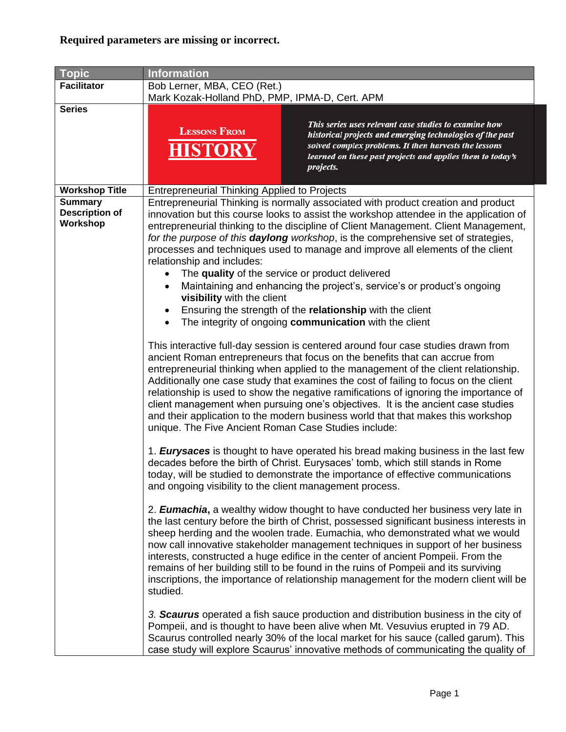| <b>Topic</b>                                        | <b>Information</b>                                                                                                                                                                                                              |                                                                                                                                                                                                                                                                                                                                                                                                                                                                                                                                                                                                                                                                                                                                                                                                                                                                                                                                                                                                                                                                                                                                                                                                                                                                                                                                                                                                                                                                                                                                                                                                                                                                                                                                                                                                                                                                                                                                                                                                                                                                                                                                                                                                                                                                                                                       |
|-----------------------------------------------------|---------------------------------------------------------------------------------------------------------------------------------------------------------------------------------------------------------------------------------|-----------------------------------------------------------------------------------------------------------------------------------------------------------------------------------------------------------------------------------------------------------------------------------------------------------------------------------------------------------------------------------------------------------------------------------------------------------------------------------------------------------------------------------------------------------------------------------------------------------------------------------------------------------------------------------------------------------------------------------------------------------------------------------------------------------------------------------------------------------------------------------------------------------------------------------------------------------------------------------------------------------------------------------------------------------------------------------------------------------------------------------------------------------------------------------------------------------------------------------------------------------------------------------------------------------------------------------------------------------------------------------------------------------------------------------------------------------------------------------------------------------------------------------------------------------------------------------------------------------------------------------------------------------------------------------------------------------------------------------------------------------------------------------------------------------------------------------------------------------------------------------------------------------------------------------------------------------------------------------------------------------------------------------------------------------------------------------------------------------------------------------------------------------------------------------------------------------------------------------------------------------------------------------------------------------------------|
| <b>Facilitator</b>                                  | Bob Lerner, MBA, CEO (Ret.)<br>Mark Kozak-Holland PhD, PMP, IPMA-D, Cert. APM                                                                                                                                                   |                                                                                                                                                                                                                                                                                                                                                                                                                                                                                                                                                                                                                                                                                                                                                                                                                                                                                                                                                                                                                                                                                                                                                                                                                                                                                                                                                                                                                                                                                                                                                                                                                                                                                                                                                                                                                                                                                                                                                                                                                                                                                                                                                                                                                                                                                                                       |
| <b>Series</b>                                       | <b>LESSONS FROM</b><br><b>HISTORY</b>                                                                                                                                                                                           | This series uses relevant case studies to examine how<br>historical projects and emerging technologies of the past<br>solved complex problems. It then harvests the lessons<br>learned on these past projects and applies them to today's<br>projects.                                                                                                                                                                                                                                                                                                                                                                                                                                                                                                                                                                                                                                                                                                                                                                                                                                                                                                                                                                                                                                                                                                                                                                                                                                                                                                                                                                                                                                                                                                                                                                                                                                                                                                                                                                                                                                                                                                                                                                                                                                                                |
| <b>Workshop Title</b>                               | <b>Entrepreneurial Thinking Applied to Projects</b>                                                                                                                                                                             |                                                                                                                                                                                                                                                                                                                                                                                                                                                                                                                                                                                                                                                                                                                                                                                                                                                                                                                                                                                                                                                                                                                                                                                                                                                                                                                                                                                                                                                                                                                                                                                                                                                                                                                                                                                                                                                                                                                                                                                                                                                                                                                                                                                                                                                                                                                       |
| <b>Summary</b><br><b>Description of</b><br>Workshop | relationship and includes:<br>$\bullet$<br>visibility with the client<br>$\bullet$<br>$\bullet$<br>unique. The Five Ancient Roman Case Studies include:<br>and ongoing visibility to the client management process.<br>studied. | Entrepreneurial Thinking is normally associated with product creation and product<br>innovation but this course looks to assist the workshop attendee in the application of<br>entrepreneurial thinking to the discipline of Client Management. Client Management,<br>for the purpose of this <b>daylong</b> workshop, is the comprehensive set of strategies,<br>processes and techniques used to manage and improve all elements of the client<br>The quality of the service or product delivered<br>Maintaining and enhancing the project's, service's or product's ongoing<br>Ensuring the strength of the relationship with the client<br>The integrity of ongoing communication with the client<br>This interactive full-day session is centered around four case studies drawn from<br>ancient Roman entrepreneurs that focus on the benefits that can accrue from<br>entrepreneurial thinking when applied to the management of the client relationship.<br>Additionally one case study that examines the cost of failing to focus on the client<br>relationship is used to show the negative ramifications of ignoring the importance of<br>client management when pursuing one's objectives. It is the ancient case studies<br>and their application to the modern business world that that makes this workshop<br>1. <b>Eurysaces</b> is thought to have operated his bread making business in the last few<br>decades before the birth of Christ. Eurysaces' tomb, which still stands in Rome<br>today, will be studied to demonstrate the importance of effective communications<br>2. <b>Eumachia</b> , a wealthy widow thought to have conducted her business very late in<br>the last century before the birth of Christ, possessed significant business interests in<br>sheep herding and the woolen trade. Eumachia, who demonstrated what we would<br>now call innovative stakeholder management techniques in support of her business<br>interests, constructed a huge edifice in the center of ancient Pompeii. From the<br>remains of her building still to be found in the ruins of Pompeii and its surviving<br>inscriptions, the importance of relationship management for the modern client will be<br>3. Scaurus operated a fish sauce production and distribution business in the city of |
|                                                     |                                                                                                                                                                                                                                 | Pompeii, and is thought to have been alive when Mt. Vesuvius erupted in 79 AD.<br>Scaurus controlled nearly 30% of the local market for his sauce (called garum). This<br>case study will explore Scaurus' innovative methods of communicating the quality of                                                                                                                                                                                                                                                                                                                                                                                                                                                                                                                                                                                                                                                                                                                                                                                                                                                                                                                                                                                                                                                                                                                                                                                                                                                                                                                                                                                                                                                                                                                                                                                                                                                                                                                                                                                                                                                                                                                                                                                                                                                         |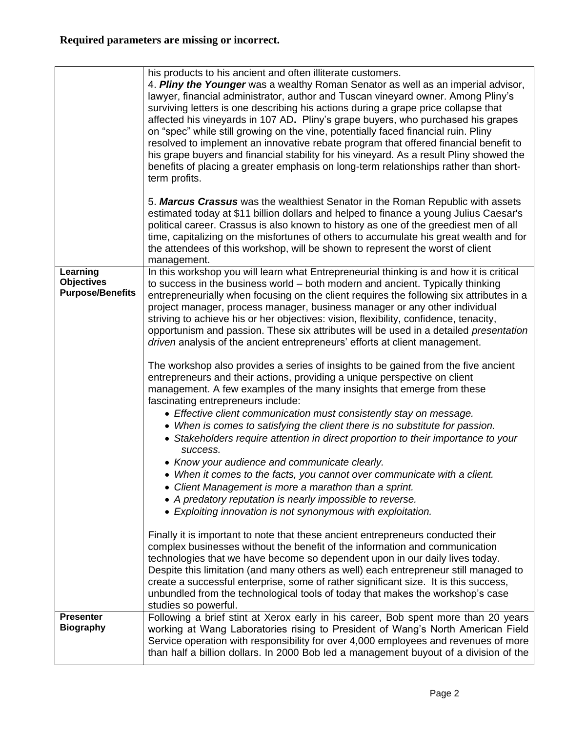|                                                          | his products to his ancient and often illiterate customers.<br>4. Pliny the Younger was a wealthy Roman Senator as well as an imperial advisor,<br>lawyer, financial administrator, author and Tuscan vineyard owner. Among Pliny's<br>surviving letters is one describing his actions during a grape price collapse that<br>affected his vineyards in 107 AD. Pliny's grape buyers, who purchased his grapes<br>on "spec" while still growing on the vine, potentially faced financial ruin. Pliny<br>resolved to implement an innovative rebate program that offered financial benefit to<br>his grape buyers and financial stability for his vineyard. As a result Pliny showed the<br>benefits of placing a greater emphasis on long-term relationships rather than short-<br>term profits. |
|----------------------------------------------------------|-------------------------------------------------------------------------------------------------------------------------------------------------------------------------------------------------------------------------------------------------------------------------------------------------------------------------------------------------------------------------------------------------------------------------------------------------------------------------------------------------------------------------------------------------------------------------------------------------------------------------------------------------------------------------------------------------------------------------------------------------------------------------------------------------|
|                                                          | 5. Marcus Crassus was the wealthiest Senator in the Roman Republic with assets<br>estimated today at \$11 billion dollars and helped to finance a young Julius Caesar's<br>political career. Crassus is also known to history as one of the greediest men of all<br>time, capitalizing on the misfortunes of others to accumulate his great wealth and for<br>the attendees of this workshop, will be shown to represent the worst of client<br>management.                                                                                                                                                                                                                                                                                                                                     |
| Learning<br><b>Objectives</b><br><b>Purpose/Benefits</b> | In this workshop you will learn what Entrepreneurial thinking is and how it is critical<br>to success in the business world - both modern and ancient. Typically thinking<br>entrepreneurially when focusing on the client requires the following six attributes in a<br>project manager, process manager, business manager or any other individual<br>striving to achieve his or her objectives: vision, flexibility, confidence, tenacity,<br>opportunism and passion. These six attributes will be used in a detailed presentation<br>driven analysis of the ancient entrepreneurs' efforts at client management.                                                                                                                                                                            |
|                                                          | The workshop also provides a series of insights to be gained from the five ancient<br>entrepreneurs and their actions, providing a unique perspective on client<br>management. A few examples of the many insights that emerge from these<br>fascinating entrepreneurs include:<br>• Effective client communication must consistently stay on message.<br>• When is comes to satisfying the client there is no substitute for passion.<br>• Stakeholders require attention in direct proportion to their importance to your<br>success.                                                                                                                                                                                                                                                         |
|                                                          | • Know your audience and communicate clearly.<br>• When it comes to the facts, you cannot over communicate with a client.<br>• Client Management is more a marathon than a sprint.<br>• A predatory reputation is nearly impossible to reverse.<br>• Exploiting innovation is not synonymous with exploitation.                                                                                                                                                                                                                                                                                                                                                                                                                                                                                 |
|                                                          | Finally it is important to note that these ancient entrepreneurs conducted their<br>complex businesses without the benefit of the information and communication<br>technologies that we have become so dependent upon in our daily lives today.<br>Despite this limitation (and many others as well) each entrepreneur still managed to<br>create a successful enterprise, some of rather significant size. It is this success,<br>unbundled from the technological tools of today that makes the workshop's case<br>studies so powerful.                                                                                                                                                                                                                                                       |
| <b>Presenter</b><br><b>Biography</b>                     | Following a brief stint at Xerox early in his career, Bob spent more than 20 years<br>working at Wang Laboratories rising to President of Wang's North American Field<br>Service operation with responsibility for over 4,000 employees and revenues of more<br>than half a billion dollars. In 2000 Bob led a management buyout of a division of the                                                                                                                                                                                                                                                                                                                                                                                                                                           |